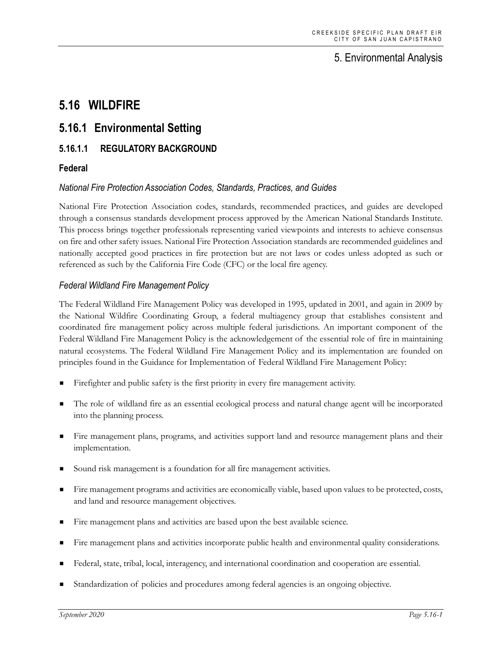## 5. Environmental Analysis

# **5.16 WILDFIRE**

## **5.16.1 Environmental Setting**

### **5.16.1.1 REGULATORY BACKGROUND**

### **Federal**

#### *National Fire Protection Association Codes, Standards, Practices, and Guides*

National Fire Protection Association codes, standards, recommended practices, and guides are developed through a consensus standards development process approved by the American National Standards Institute. This process brings together professionals representing varied viewpoints and interests to achieve consensus on fire and other safety issues. National Fire Protection Association standards are recommended guidelines and nationally accepted good practices in fire protection but are not laws or codes unless adopted as such or referenced as such by the California Fire Code (CFC) or the local fire agency.

#### *Federal Wildland Fire Management Policy*

The Federal Wildland Fire Management Policy was developed in 1995, updated in 2001, and again in 2009 by the National Wildfire Coordinating Group, a federal multiagency group that establishes consistent and coordinated fire management policy across multiple federal jurisdictions. An important component of the Federal Wildland Fire Management Policy is the acknowledgement of the essential role of fire in maintaining natural ecosystems. The Federal Wildland Fire Management Policy and its implementation are founded on principles found in the Guidance for Implementation of Federal Wildland Fire Management Policy:

- Firefighter and public safety is the first priority in every fire management activity.
- The role of wildland fire as an essential ecological process and natural change agent will be incorporated into the planning process.
- Fire management plans, programs, and activities support land and resource management plans and their implementation.
- Sound risk management is a foundation for all fire management activities.
- Fire management programs and activities are economically viable, based upon values to be protected, costs, and land and resource management objectives.
- Fire management plans and activities are based upon the best available science.
- Fire management plans and activities incorporate public health and environmental quality considerations.
- Federal, state, tribal, local, interagency, and international coordination and cooperation are essential.
- Standardization of policies and procedures among federal agencies is an ongoing objective.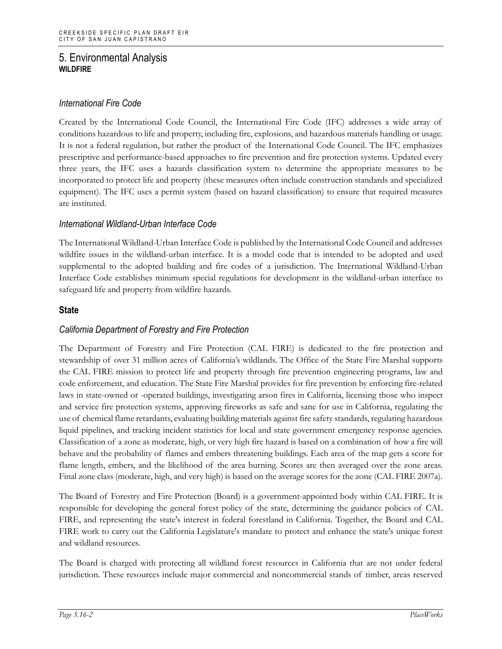### *International Fire Code*

Created by the International Code Council, the International Fire Code (IFC) addresses a wide array of conditions hazardous to life and property, including fire, explosions, and hazardous materials handling or usage. It is not a federal regulation, but rather the product of the International Code Council. The IFC emphasizes prescriptive and performance-based approaches to fire prevention and fire protection systems. Updated every three years, the IFC uses a hazards classification system to determine the appropriate measures to be incorporated to protect life and property (these measures often include construction standards and specialized equipment). The IFC uses a permit system (based on hazard classification) to ensure that required measures are instituted.

#### *International Wildland-Urban Interface Code*

The International Wildland-Urban Interface Code is published by the International Code Council and addresses wildfire issues in the wildland-urban interface. It is a model code that is intended to be adopted and used supplemental to the adopted building and fire codes of a jurisdiction. The International Wildland-Urban Interface Code establishes minimum special regulations for development in the wildland-urban interface to safeguard life and property from wildfire hazards.

#### **State**

#### *California Department of Forestry and Fire Protection*

The Department of Forestry and Fire Protection (CAL FIRE) is dedicated to the fire protection and stewardship of over 31 million acres of California's wildlands. The Office of the State Fire Marshal supports the CAL FIRE mission to protect life and property through fire prevention engineering programs, law and code enforcement, and education. The State Fire Marshal provides for fire prevention by enforcing fire-related laws in state-owned or -operated buildings, investigating arson fires in California, licensing those who inspect and service fire protection systems, approving fireworks as safe and sane for use in California, regulating the use of chemical flame retardants, evaluating building materials against fire safety standards, regulating hazardous liquid pipelines, and tracking incident statistics for local and state government emergency response agencies. Classification of a zone as moderate, high, or very high fire hazard is based on a combination of how a fire will behave and the probability of flames and embers threatening buildings. Each area of the map gets a score for flame length, embers, and the likelihood of the area burning. Scores are then averaged over the zone areas. Final zone class (moderate, high, and very high) is based on the average scores for the zone (CAL FIRE 2007a).

The Board of Forestry and Fire Protection (Board) is a government-appointed body within CAL FIRE. It is responsible for developing the general forest policy of the state, determining the guidance policies of CAL FIRE, and representing the state's interest in federal forestland in California. Together, the Board and CAL FIRE work to carry out the California Legislature's mandate to protect and enhance the state's unique forest and wildland resources.

The Board is charged with protecting all wildland forest resources in California that are not under federal jurisdiction. These resources include major commercial and noncommercial stands of timber, areas reserved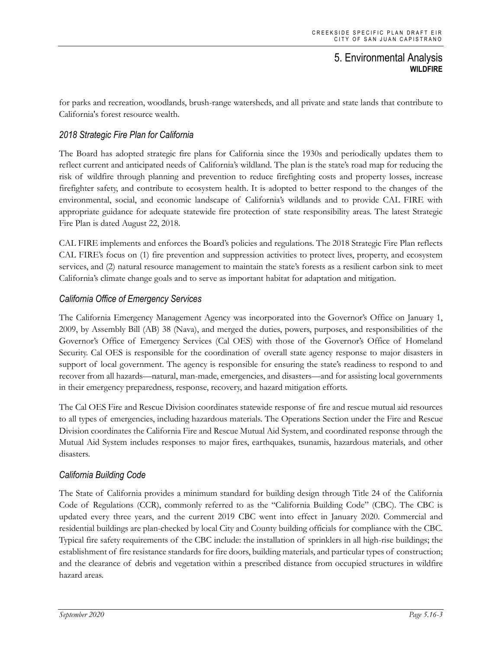for parks and recreation, woodlands, brush-range watersheds, and all private and state lands that contribute to California's forest resource wealth.

### *2018 Strategic Fire Plan for California*

The Board has adopted strategic fire plans for California since the 1930s and periodically updates them to reflect current and anticipated needs of California's wildland. The plan is the state's road map for reducing the risk of wildfire through planning and prevention to reduce firefighting costs and property losses, increase firefighter safety, and contribute to ecosystem health. It is adopted to better respond to the changes of the environmental, social, and economic landscape of California's wildlands and to provide CAL FIRE with appropriate guidance for adequate statewide fire protection of state responsibility areas. The latest Strategic Fire Plan is dated August 22, 2018.

CAL FIRE implements and enforces the Board's policies and regulations. The 2018 Strategic Fire Plan reflects CAL FIRE's focus on (1) fire prevention and suppression activities to protect lives, property, and ecosystem services, and (2) natural resource management to maintain the state's forests as a resilient carbon sink to meet California's climate change goals and to serve as important habitat for adaptation and mitigation.

#### *California Office of Emergency Services*

The California Emergency Management Agency was incorporated into the Governor's Office on January 1, 2009, by Assembly Bill (AB) 38 (Nava), and merged the duties, powers, purposes, and responsibilities of the Governor's Office of Emergency Services (Cal OES) with those of the Governor's Office of Homeland Security. Cal OES is responsible for the coordination of overall state agency response to major disasters in support of local government. The agency is responsible for ensuring the state's readiness to respond to and recover from all hazards—natural, man-made, emergencies, and disasters—and for assisting local governments in their emergency preparedness, response, recovery, and hazard mitigation efforts.

The Cal OES Fire and Rescue Division coordinates statewide response of fire and rescue mutual aid resources to all types of emergencies, including hazardous materials. The Operations Section under the Fire and Rescue Division coordinates the California Fire and Rescue Mutual Aid System, and coordinated response through the Mutual Aid System includes responses to major fires, earthquakes, tsunamis, hazardous materials, and other disasters.

#### *California Building Code*

The State of California provides a minimum standard for building design through Title 24 of the California Code of Regulations (CCR), commonly referred to as the "California Building Code" (CBC). The CBC is updated every three years, and the current 2019 CBC went into effect in January 2020. Commercial and residential buildings are plan-checked by local City and County building officials for compliance with the CBC. Typical fire safety requirements of the CBC include: the installation of sprinklers in all high-rise buildings; the establishment of fire resistance standards for fire doors, building materials, and particular types of construction; and the clearance of debris and vegetation within a prescribed distance from occupied structures in wildfire hazard areas.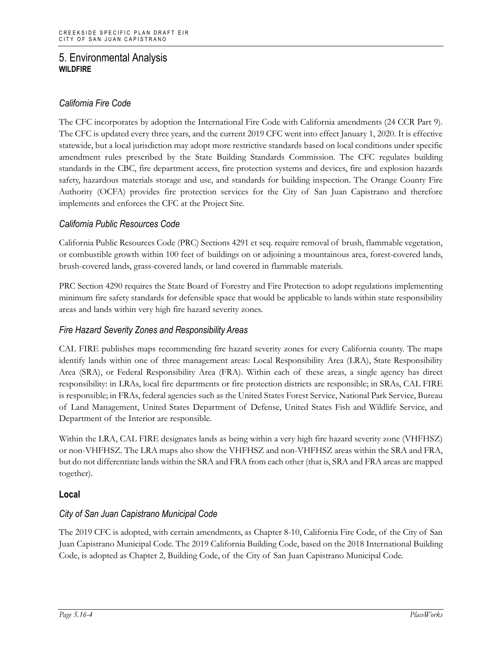### *California Fire Code*

The CFC incorporates by adoption the International Fire Code with California amendments (24 CCR Part 9). The CFC is updated every three years, and the current 2019 CFC went into effect January 1, 2020. It is effective statewide, but a local jurisdiction may adopt more restrictive standards based on local conditions under specific amendment rules prescribed by the State Building Standards Commission. The CFC regulates building standards in the CBC, fire department access, fire protection systems and devices, fire and explosion hazards safety, hazardous materials storage and use, and standards for building inspection. The Orange County Fire Authority (OCFA) provides fire protection services for the City of San Juan Capistrano and therefore implements and enforces the CFC at the Project Site.

#### *California Public Resources Code*

California Public Resources Code (PRC) Sections 4291 et seq. require removal of brush, flammable vegetation, or combustible growth within 100 feet of buildings on or adjoining a mountainous area, forest-covered lands, brush-covered lands, grass-covered lands, or land covered in flammable materials.

PRC Section 4290 requires the State Board of Forestry and Fire Protection to adopt regulations implementing minimum fire safety standards for defensible space that would be applicable to lands within state responsibility areas and lands within very high fire hazard severity zones.

#### *Fire Hazard Severity Zones and Responsibility Areas*

CAL FIRE publishes maps recommending fire hazard severity zones for every California county. The maps identify lands within one of three management areas: Local Responsibility Area (LRA), State Responsibility Area (SRA), or Federal Responsibility Area (FRA). Within each of these areas, a single agency has direct responsibility: in LRAs, local fire departments or fire protection districts are responsible; in SRAs, CAL FIRE is responsible; in FRAs, federal agencies such as the United States Forest Service, National Park Service, Bureau of Land Management, United States Department of Defense, United States Fish and Wildlife Service, and Department of the Interior are responsible.

Within the LRA, CAL FIRE designates lands as being within a very high fire hazard severity zone (VHFHSZ) or non-VHFHSZ. The LRA maps also show the VHFHSZ and non-VHFHSZ areas within the SRA and FRA, but do not differentiate lands within the SRA and FRA from each other (that is, SRA and FRA areas are mapped together).

#### **Local**

#### *City of San Juan Capistrano Municipal Code*

The 2019 CFC is adopted, with certain amendments, as Chapter 8-10, California Fire Code, of the City of San Juan Capistrano Municipal Code. The 2019 California Building Code, based on the 2018 International Building Code, is adopted as Chapter 2, Building Code, of the City of San Juan Capistrano Municipal Code.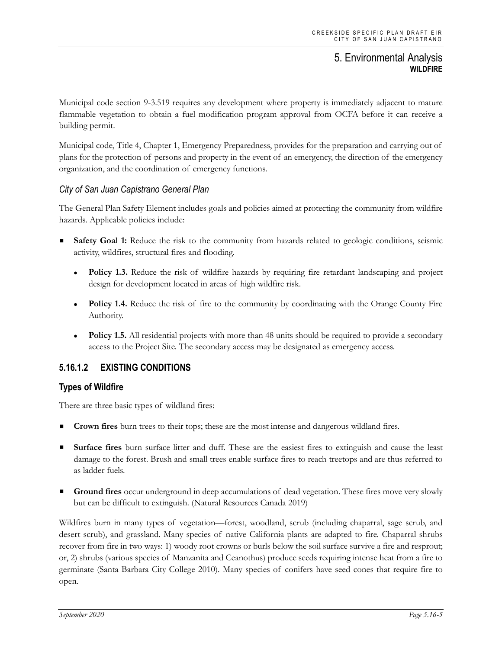Municipal code section 9-3.519 requires any development where property is immediately adjacent to mature flammable vegetation to obtain a fuel modification program approval from OCFA before it can receive a building permit.

Municipal code, Title 4, Chapter 1, Emergency Preparedness, provides for the preparation and carrying out of plans for the protection of persons and property in the event of an emergency, the direction of the emergency organization, and the coordination of emergency functions.

#### *City of San Juan Capistrano General Plan*

The General Plan Safety Element includes goals and policies aimed at protecting the community from wildfire hazards. Applicable policies include:

- **Safety Goal 1:** Reduce the risk to the community from hazards related to geologic conditions, seismic activity, wildfires, structural fires and flooding.
	- **Policy 1.3.** Reduce the risk of wildfire hazards by requiring fire retardant landscaping and project design for development located in areas of high wildfire risk.
	- **Policy 1.4.** Reduce the risk of fire to the community by coordinating with the Orange County Fire Authority.
	- **Policy 1.5.** All residential projects with more than 48 units should be required to provide a secondary access to the Project Site. The secondary access may be designated as emergency access.

#### **5.16.1.2 EXISTING CONDITIONS**

#### **Types of Wildfire**

There are three basic types of wildland fires:

- **Crown fires** burn trees to their tops; these are the most intense and dangerous wildland fires.
- **Surface fires** burn surface litter and duff. These are the easiest fires to extinguish and cause the least damage to the forest. Brush and small trees enable surface fires to reach treetops and are thus referred to as ladder fuels.
- **Ground fires** occur underground in deep accumulations of dead vegetation. These fires move very slowly but can be difficult to extinguish. (Natural Resources Canada 2019)

Wildfires burn in many types of vegetation—forest, woodland, scrub (including chaparral, sage scrub, and desert scrub), and grassland. Many species of native California plants are adapted to fire. Chaparral shrubs recover from fire in two ways: 1) woody root crowns or burls below the soil surface survive a fire and resprout; or, 2) shrubs (various species of Manzanita and Ceanothus) produce seeds requiring intense heat from a fire to germinate (Santa Barbara City College 2010). Many species of conifers have seed cones that require fire to open.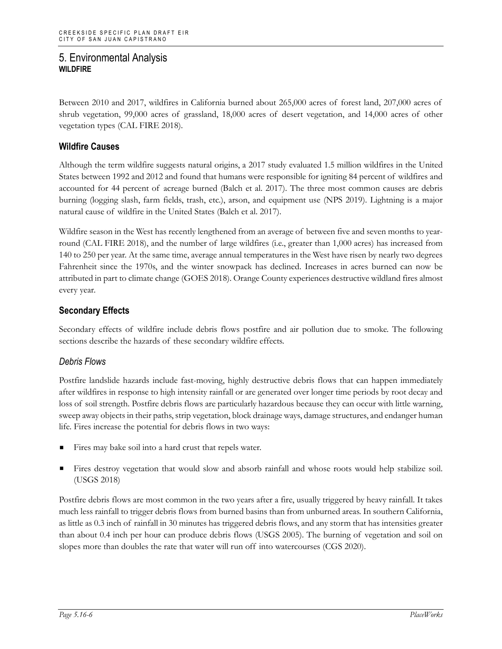Between 2010 and 2017, wildfires in California burned about 265,000 acres of forest land, 207,000 acres of shrub vegetation, 99,000 acres of grassland, 18,000 acres of desert vegetation, and 14,000 acres of other vegetation types (CAL FIRE 2018).

### **Wildfire Causes**

Although the term wildfire suggests natural origins, a 2017 study evaluated 1.5 million wildfires in the United States between 1992 and 2012 and found that humans were responsible for igniting 84 percent of wildfires and accounted for 44 percent of acreage burned (Balch et al. 2017). The three most common causes are debris burning (logging slash, farm fields, trash, etc.), arson, and equipment use (NPS 2019). Lightning is a major natural cause of wildfire in the United States (Balch et al. 2017).

Wildfire season in the West has recently lengthened from an average of between five and seven months to yearround (CAL FIRE 2018), and the number of large wildfires (i.e., greater than 1,000 acres) has increased from 140 to 250 per year. At the same time, average annual temperatures in the West have risen by nearly two degrees Fahrenheit since the 1970s, and the winter snowpack has declined. Increases in acres burned can now be attributed in part to climate change (GOES 2018). Orange County experiences destructive wildland fires almost every year.

### **Secondary Effects**

Secondary effects of wildfire include debris flows postfire and air pollution due to smoke. The following sections describe the hazards of these secondary wildfire effects.

#### *Debris Flows*

Postfire landslide hazards include fast-moving, highly destructive debris flows that can happen immediately after wildfires in response to high intensity rainfall or are generated over longer time periods by root decay and loss of soil strength. Postfire debris flows are particularly hazardous because they can occur with little warning, sweep away objects in their paths, strip vegetation, block drainage ways, damage structures, and endanger human life. Fires increase the potential for debris flows in two ways:

- Fires may bake soil into a hard crust that repels water.
- Fires destroy vegetation that would slow and absorb rainfall and whose roots would help stabilize soil. (USGS 2018)

Postfire debris flows are most common in the two years after a fire, usually triggered by heavy rainfall. It takes much less rainfall to trigger debris flows from burned basins than from unburned areas. In southern California, as little as 0.3 inch of rainfall in 30 minutes has triggered debris flows, and any storm that has intensities greater than about 0.4 inch per hour can produce debris flows (USGS 2005). The burning of vegetation and soil on slopes more than doubles the rate that water will run off into watercourses (CGS 2020).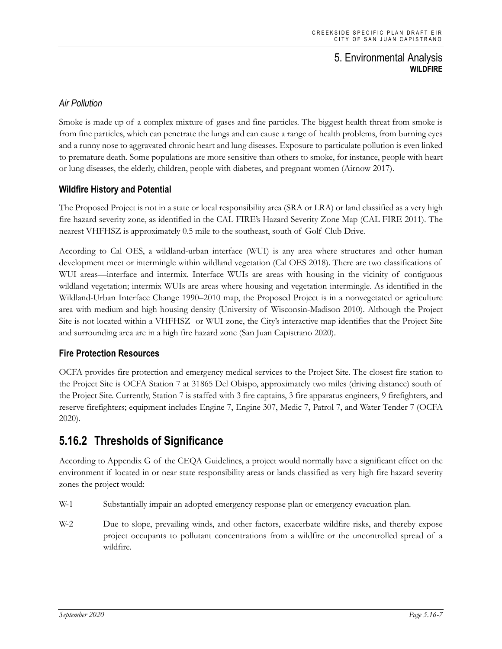### *Air Pollution*

Smoke is made up of a complex mixture of gases and fine particles. The biggest health threat from smoke is from fine particles, which can penetrate the lungs and can cause a range of health problems, from burning eyes and a runny nose to aggravated chronic heart and lung diseases. Exposure to particulate pollution is even linked to premature death. Some populations are more sensitive than others to smoke, for instance, people with heart or lung diseases, the elderly, children, people with diabetes, and pregnant women (Airnow 2017).

#### **Wildfire History and Potential**

The Proposed Project is not in a state or local responsibility area (SRA or LRA) or land classified as a very high fire hazard severity zone, as identified in the CAL FIRE's Hazard Severity Zone Map (CAL FIRE 2011). The nearest VHFHSZ is approximately 0.5 mile to the southeast, south of Golf Club Drive.

According to Cal OES, a wildland-urban interface (WUI) is any area where structures and other human development meet or intermingle within wildland vegetation (Cal OES 2018). There are two classifications of WUI areas—interface and intermix. Interface WUIs are areas with housing in the vicinity of contiguous wildland vegetation; intermix WUIs are areas where housing and vegetation intermingle. As identified in the Wildland-Urban Interface Change 1990–2010 map, the Proposed Project is in a nonvegetated or agriculture area with medium and high housing density (University of Wisconsin-Madison 2010). Although the Project Site is not located within a VHFHSZ or WUI zone, the City's interactive map identifies that the Project Site and surrounding area are in a high fire hazard zone (San Juan Capistrano 2020).

#### **Fire Protection Resources**

OCFA provides fire protection and emergency medical services to the Project Site. The closest fire station to the Project Site is OCFA Station 7 at 31865 Del Obispo, approximately two miles (driving distance) south of the Project Site. Currently, Station 7 is staffed with 3 fire captains, 3 fire apparatus engineers, 9 firefighters, and reserve firefighters; equipment includes Engine 7, Engine 307, Medic 7, Patrol 7, and Water Tender 7 (OCFA 2020).

## **5.16.2 Thresholds of Significance**

According to Appendix G of the CEQA Guidelines, a project would normally have a significant effect on the environment if located in or near state responsibility areas or lands classified as very high fire hazard severity zones the project would:

- W-1 Substantially impair an adopted emergency response plan or emergency evacuation plan.
- W-2 Due to slope, prevailing winds, and other factors, exacerbate wildfire risks, and thereby expose project occupants to pollutant concentrations from a wildfire or the uncontrolled spread of a wildfire.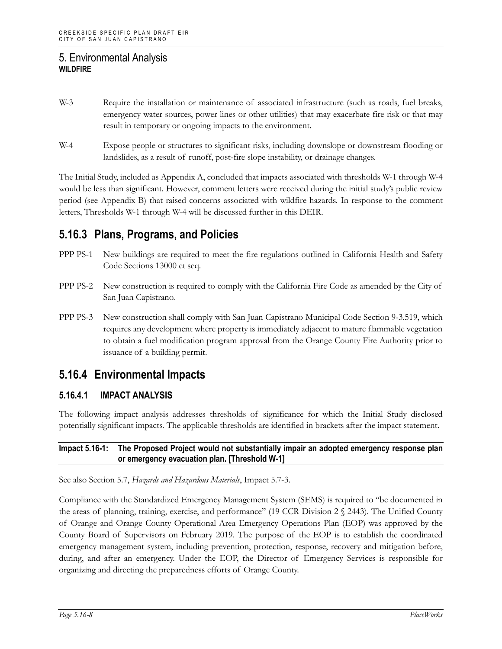- W-3 Require the installation or maintenance of associated infrastructure (such as roads, fuel breaks, emergency water sources, power lines or other utilities) that may exacerbate fire risk or that may result in temporary or ongoing impacts to the environment.
- W-4 Expose people or structures to significant risks, including downslope or downstream flooding or landslides, as a result of runoff, post-fire slope instability, or drainage changes.

The Initial Study, included as Appendix A, concluded that impacts associated with thresholds W-1 through W-4 would be less than significant. However, comment letters were received during the initial study's public review period (see Appendix B) that raised concerns associated with wildfire hazards. In response to the comment letters, Thresholds W-1 through W-4 will be discussed further in this DEIR.

# **5.16.3 Plans, Programs, and Policies**

- PPP PS-1 New buildings are required to meet the fire regulations outlined in California Health and Safety Code Sections 13000 et seq.
- PPP PS-2 New construction is required to comply with the California Fire Code as amended by the City of San Juan Capistrano.
- PPP PS-3 New construction shall comply with San Juan Capistrano Municipal Code Section 9-3.519, which requires any development where property is immediately adjacent to mature flammable vegetation to obtain a fuel modification program approval from the Orange County Fire Authority prior to issuance of a building permit.

## **5.16.4 Environmental Impacts**

#### **5.16.4.1 IMPACT ANALYSIS**

The following impact analysis addresses thresholds of significance for which the Initial Study disclosed potentially significant impacts. The applicable thresholds are identified in brackets after the impact statement.

#### **Impact 5.16-1: The Proposed Project would not substantially impair an adopted emergency response plan or emergency evacuation plan. [Threshold W-1]**

See also Section 5.7, *Hazards and Hazardous Materials*, Impact 5.7-3.

Compliance with the Standardized Emergency Management System (SEMS) is required to "be documented in the areas of planning, training, exercise, and performance" (19 CCR Division 2 § 2443). The Unified County of Orange and Orange County Operational Area Emergency Operations Plan (EOP) was approved by the County Board of Supervisors on February 2019. The purpose of the EOP is to establish the coordinated emergency management system, including prevention, protection, response, recovery and mitigation before, during, and after an emergency. Under the EOP, the Director of Emergency Services is responsible for organizing and directing the preparedness efforts of Orange County.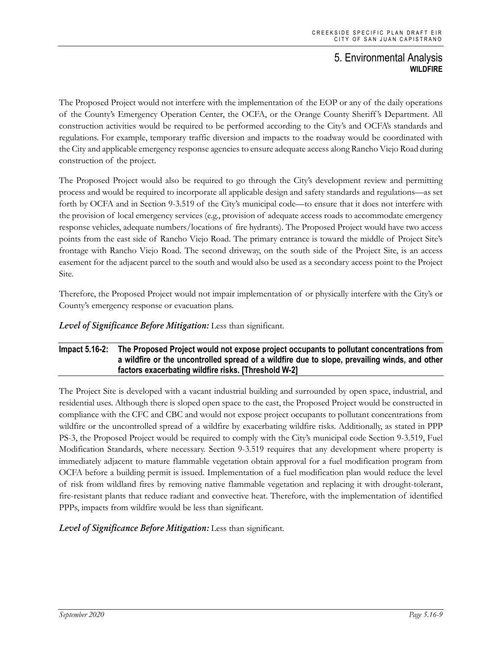The Proposed Project would not interfere with the implementation of the EOP or any of the daily operations of the County's Emergency Operation Center, the OCFA, or the Orange County Sheriff 's Department. All construction activities would be required to be performed according to the City's and OCFA's standards and regulations. For example, temporary traffic diversion and impacts to the roadway would be coordinated with the City and applicable emergency response agencies to ensure adequate access along Rancho Viejo Road during construction of the project.

The Proposed Project would also be required to go through the City's development review and permitting process and would be required to incorporate all applicable design and safety standards and regulations—as set forth by OCFA and in Section 9-3.519 of the City's municipal code—to ensure that it does not interfere with the provision of local emergency services (e.g., provision of adequate access roads to accommodate emergency response vehicles, adequate numbers/locations of fire hydrants). The Proposed Project would have two access points from the east side of Rancho Viejo Road. The primary entrance is toward the middle of Project Site's frontage with Rancho Viejo Road. The second driveway, on the south side of the Project Site, is an access easement for the adjacent parcel to the south and would also be used as a secondary access point to the Project Site.

Therefore, the Proposed Project would not impair implementation of or physically interfere with the City's or County's emergency response or evacuation plans.

*Level of Significance Before Mitigation:* Less than significant.

#### **Impact 5.16-2: The Proposed Project would not expose project occupants to pollutant concentrations from a wildfire or the uncontrolled spread of a wildfire due to slope, prevailing winds, and other factors exacerbating wildfire risks. [Threshold W-2]**

The Project Site is developed with a vacant industrial building and surrounded by open space, industrial, and residential uses. Although there is sloped open space to the east, the Proposed Project would be constructed in compliance with the CFC and CBC and would not expose project occupants to pollutant concentrations from wildfire or the uncontrolled spread of a wildfire by exacerbating wildfire risks. Additionally, as stated in PPP PS-3, the Proposed Project would be required to comply with the City's municipal code Section 9-3.519, Fuel Modification Standards, where necessary. Section 9-3.519 requires that any development where property is immediately adjacent to mature flammable vegetation obtain approval for a fuel modification program from OCFA before a building permit is issued. Implementation of a fuel modification plan would reduce the level of risk from wildland fires by removing native flammable vegetation and replacing it with drought-tolerant, fire-resistant plants that reduce radiant and convective heat. Therefore, with the implementation of identified PPPs, impacts from wildfire would be less than significant.

*Level of Significance Before Mitigation:* Less than significant.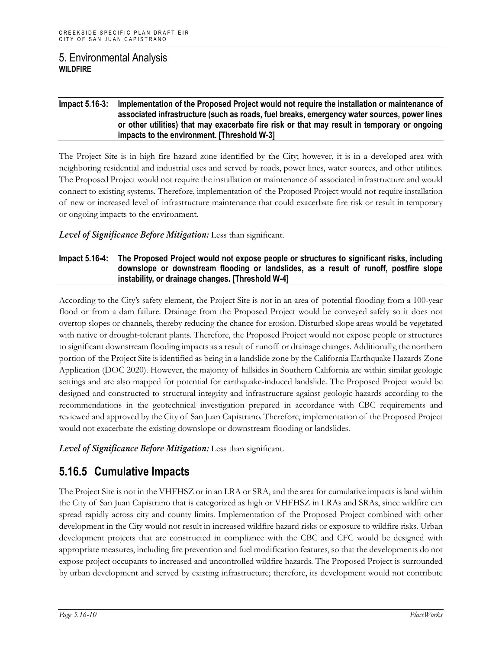#### **Impact 5.16-3: Implementation of the Proposed Project would not require the installation or maintenance of associated infrastructure (such as roads, fuel breaks, emergency water sources, power lines or other utilities) that may exacerbate fire risk or that may result in temporary or ongoing impacts to the environment. [Threshold W-3]**

The Project Site is in high fire hazard zone identified by the City; however, it is in a developed area with neighboring residential and industrial uses and served by roads, power lines, water sources, and other utilities. The Proposed Project would not require the installation or maintenance of associated infrastructure and would connect to existing systems. Therefore, implementation of the Proposed Project would not require installation of new or increased level of infrastructure maintenance that could exacerbate fire risk or result in temporary or ongoing impacts to the environment.

#### *Level of Significance Before Mitigation:* Less than significant.

#### **Impact 5.16-4: The Proposed Project would not expose people or structures to significant risks, including downslope or downstream flooding or landslides, as a result of runoff, postfire slope instability, or drainage changes. [Threshold W-4]**

According to the City's safety element, the Project Site is not in an area of potential flooding from a 100-year flood or from a dam failure. Drainage from the Proposed Project would be conveyed safely so it does not overtop slopes or channels, thereby reducing the chance for erosion. Disturbed slope areas would be vegetated with native or drought-tolerant plants. Therefore, the Proposed Project would not expose people or structures to significant downstream flooding impacts as a result of runoff or drainage changes. Additionally, the northern portion of the Project Site is identified as being in a landslide zone by the California Earthquake Hazards Zone Application (DOC 2020). However, the majority of hillsides in Southern California are within similar geologic settings and are also mapped for potential for earthquake-induced landslide. The Proposed Project would be designed and constructed to structural integrity and infrastructure against geologic hazards according to the recommendations in the geotechnical investigation prepared in accordance with CBC requirements and reviewed and approved by the City of San Juan Capistrano. Therefore, implementation of the Proposed Project would not exacerbate the existing downslope or downstream flooding or landslides.

*Level of Significance Before Mitigation:* Less than significant.

## **5.16.5 Cumulative Impacts**

The Project Site is not in the VHFHSZ or in an LRA or SRA, and the area for cumulative impacts is land within the City of San Juan Capistrano that is categorized as high or VHFHSZ in LRAs and SRAs, since wildfire can spread rapidly across city and county limits. Implementation of the Proposed Project combined with other development in the City would not result in increased wildfire hazard risks or exposure to wildfire risks. Urban development projects that are constructed in compliance with the CBC and CFC would be designed with appropriate measures, including fire prevention and fuel modification features, so that the developments do not expose project occupants to increased and uncontrolled wildfire hazards. The Proposed Project is surrounded by urban development and served by existing infrastructure; therefore, its development would not contribute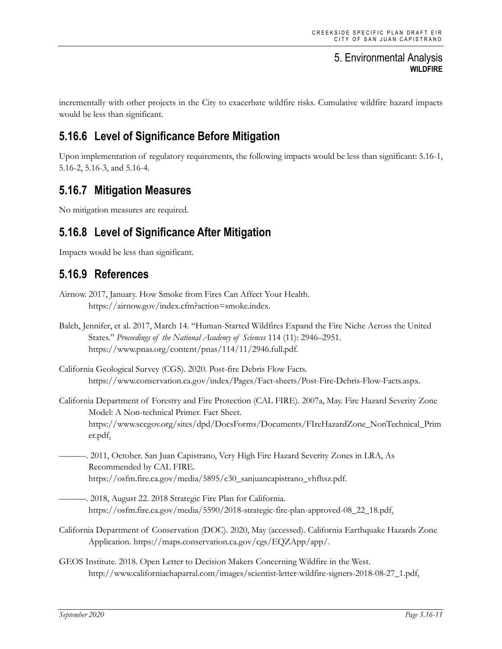incrementally with other projects in the City to exacerbate wildfire risks. Cumulative wildfire hazard impacts would be less than significant.

# **5.16.6 Level of Significance Before Mitigation**

Upon implementation of regulatory requirements, the following impacts would be less than significant: 5.16-1, 5.16-2, 5.16-3, and 5.16-4.

## **5.16.7 Mitigation Measures**

No mitigation measures are required.

# **5.16.8 Level of Significance After Mitigation**

Impacts would be less than significant.

## **5.16.9 References**

Balch, Jennifer, et al. 2017, March 14. "Human-Started Wildfires Expand the Fire Niche Across the United States." *Proceedings of the National Academy of Sciences* 114 (11): 2946–2951. https://www.pnas.org/content/pnas/114/11/2946.full.pdf.

California Geological Survey (CGS). 2020. Post-fire Debris Flow Facts. https://www.conservation.ca.gov/index/Pages/Fact-sheets/Post-Fire-Debris-Flow-Facts.aspx.

California Department of Forestry and Fire Protection (CAL FIRE). 2007a, May. Fire Hazard Severity Zone Model: A Non-technical Primer. Fact Sheet. https://www.sccgov.org/sites/dpd/DocsForms/Documents/FIreHazardZone\_NonTechnical\_Prim er.pdf.

———. 2011, October. San Juan Capistrano, Very High Fire Hazard Severity Zones in LRA, As Recommended by CAL FIRE. https://osfm.fire.ca.gov/media/5895/c30\_sanjuancapistrano\_vhfhsz.pdf.

- ———. 2018, August 22. 2018 Strategic Fire Plan for California. https://osfm.fire.ca.gov/media/5590/2018-strategic-fire-plan-approved-08\_22\_18.pdf.
- California Department of Conservation (DOC). 2020, May (accessed). California Earthquake Hazards Zone Application. https://maps.conservation.ca.gov/cgs/EQZApp/app/.
- GEOS Institute. 2018. Open Letter to Decision Makers Concerning Wildfire in the West. http://www.californiachaparral.com/images/scientist-letter-wildfire-signers-2018-08-27\_1.pdf.

Airnow. 2017, January. How Smoke from Fires Can Affect Your Health. https://airnow.gov/index.cfm?action=smoke.index.